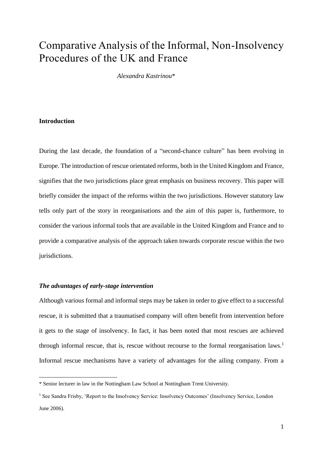# Comparative Analysis of the Informal, Non-Insolvency Procedures of the UK and France

*Alexandra Kastrinou*\*

# **Introduction**

1

During the last decade, the foundation of a "second-chance culture" has been evolving in Europe. The introduction of rescue orientated reforms, both in the United Kingdom and France, signifies that the two jurisdictions place great emphasis on business recovery. This paper will briefly consider the impact of the reforms within the two jurisdictions. However statutory law tells only part of the story in reorganisations and the aim of this paper is, furthermore, to consider the various informal tools that are available in the United Kingdom and France and to provide a comparative analysis of the approach taken towards corporate rescue within the two jurisdictions.

# *The advantages of early-stage intervention*

Although various formal and informal steps may be taken in order to give effect to a successful rescue, it is submitted that a traumatised company will often benefit from intervention before it gets to the stage of insolvency. In fact, it has been noted that most rescues are achieved through informal rescue, that is, rescue without recourse to the formal reorganisation laws. 1 Informal rescue mechanisms have a variety of advantages for the ailing company. From a

<sup>\*</sup> Senior lecturer in law in the Nottingham Law School at Nottingham Trent University.

<sup>1</sup> See Sandra Frisby, 'Report to the Insolvency Service: Insolvency Outcomes' (Insolvency Service, London June 2006).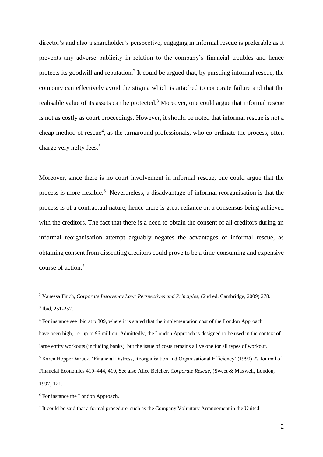director's and also a shareholder's perspective, engaging in informal rescue is preferable as it prevents any adverse publicity in relation to the company's financial troubles and hence protects its goodwill and reputation.<sup>2</sup> It could be argued that, by pursuing informal rescue, the company can effectively avoid the stigma which is attached to corporate failure and that the realisable value of its assets can be protected.<sup>3</sup> Moreover, one could argue that informal rescue is not as costly as court proceedings. However, it should be noted that informal rescue is not a cheap method of rescue<sup>4</sup>, as the turnaround professionals, who co-ordinate the process, often charge very hefty fees.<sup>5</sup>

Moreover, since there is no court involvement in informal rescue, one could argue that the process is more flexible.<sup>6</sup> Nevertheless, a disadvantage of informal reorganisation is that the process is of a contractual nature, hence there is great reliance on a consensus being achieved with the creditors. The fact that there is a need to obtain the consent of all creditors during an informal reorganisation attempt arguably negates the advantages of informal rescue, as obtaining consent from dissenting creditors could prove to be a time-consuming and expensive course of action.<sup>7</sup>

<sup>2</sup> Vanessa Finch, *Corporate Insolvency Law: Perspectives and Principles*, (2nd ed. Cambridge, 2009) 278. 3 Ibid, 251-252.

<sup>4</sup> For instance see ibid at p.309, where it is stated that the implementation cost of the London Approach have been high, i.e. up to £6 million. Admittedly, the London Approach is designed to be used in the context of large entity workouts (including banks), but the issue of costs remains a live one for all types of workout.

<sup>5</sup> Karen Hopper Wruck, 'Financial Distress, Reorganisation and Organisational Efficiency' (1990) 27 Journal of Financial Economics 419–444, 419, See also Alice Belcher, *Corporate Rescue*, (Sweet & Maxwell, London, 1997) 121.

<sup>&</sup>lt;sup>6</sup> For instance the London Approach.

<sup>&</sup>lt;sup>7</sup> It could be said that a formal procedure, such as the Company Voluntary Arrangement in the United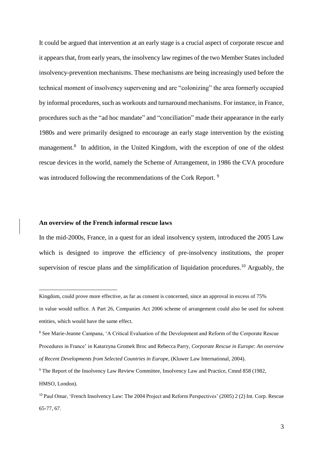It could be argued that intervention at an early stage is a crucial aspect of corporate rescue and it appears that, from early years, the insolvency law regimes of the two Member States included insolvency-prevention mechanisms. These mechanisms are being increasingly used before the technical moment of insolvency supervening and are "colonizing" the area formerly occupied by informal procedures, such as workouts and turnaround mechanisms. For instance, in France, procedures such as the "ad hoc mandate" and "conciliation" made their appearance in the early 1980s and were primarily designed to encourage an early stage intervention by the existing management.<sup>8</sup> In addition, in the United Kingdom, with the exception of one of the oldest rescue devices in the world, namely the Scheme of Arrangement, in 1986 the CVA procedure was introduced following the recommendations of the Cork Report.<sup>9</sup>

# **An overview of the French informal rescue laws**

1

In the mid-2000s, France, in a quest for an ideal insolvency system, introduced the 2005 Law which is designed to improve the efficiency of pre-insolvency institutions, the proper supervision of rescue plans and the simplification of liquidation procedures.<sup>10</sup> Arguably, the

Kingdom, could prove more effective, as far as consent is concerned, since an approval in excess of 75% in value would suffice. A Part 26, Companies Act 2006 scheme of arrangement could also be used for solvent entities, which would have the same effect.

<sup>8</sup> See Marie-Jeanne Campana, 'A Critical Evaluation of the Development and Reform of the Corporate Rescue Procedures in France' in Katarzyna Gromek Broc and Rebecca Parry*, Corporate Rescue in Europe: An overview of Recent Developments from Selected Countries in Europ*e, (Kluwer Law International, 2004).

<sup>&</sup>lt;sup>9</sup> The Report of the Insolvency Law Review Committee, Insolvency Law and Practice, Cmnd 858 (1982, HMSO, London).

<sup>10</sup> Paul Omar, 'French Insolvency Law: The 2004 Project and Reform Perspectives' (2005) 2 (2) Int. Corp. Rescue 65-77, 67.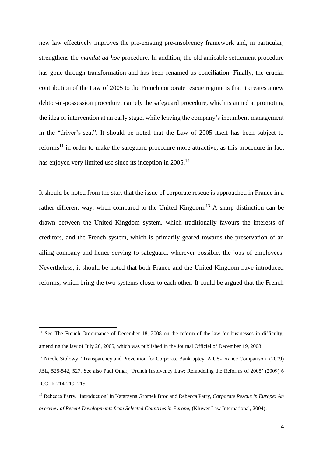new law effectively improves the pre-existing pre-insolvency framework and, in particular, strengthens the *mandat ad hoc* procedure. In addition, the old amicable settlement procedure has gone through transformation and has been renamed as conciliation. Finally, the crucial contribution of the Law of 2005 to the French corporate rescue regime is that it creates a new debtor-in-possession procedure, namely the safeguard procedure, which is aimed at promoting the idea of intervention at an early stage, while leaving the company's incumbent management in the "driver's-seat". It should be noted that the Law of 2005 itself has been subject to  $reforms<sup>11</sup>$  in order to make the safeguard procedure more attractive, as this procedure in fact has enjoyed very limited use since its inception in 2005.<sup>12</sup>

It should be noted from the start that the issue of corporate rescue is approached in France in a rather different way, when compared to the United Kingdom.<sup>13</sup> A sharp distinction can be drawn between the United Kingdom system, which traditionally favours the interests of creditors, and the French system, which is primarily geared towards the preservation of an ailing company and hence serving to safeguard, wherever possible, the jobs of employees. Nevertheless, it should be noted that both France and the United Kingdom have introduced reforms, which bring the two systems closer to each other. It could be argued that the French

<sup>&</sup>lt;sup>11</sup> See The French Ordonnance of December 18, 2008 on the reform of the law for businesses in difficulty, amending the law of July 26, 2005, which was published in the Journal Officiel of December 19, 2008.

<sup>&</sup>lt;sup>12</sup> Nicole Stolowy, 'Transparency and Prevention for Corporate Bankruptcy: A US- France Comparison' (2009) JBL, 525-542, 527. See also Paul Omar, 'French Insolvency Law: Remodeling the Reforms of 2005' (2009) 6 ICCLR 214-219, 215.

<sup>13</sup> Rebecca Parry, 'Introduction' in Katarzyna Gromek Broc and Rebecca Parry, *Corporate Rescue in Europe: An overview of Recent Developments from Selected Countries in Europe,* (Kluwer Law International, 2004).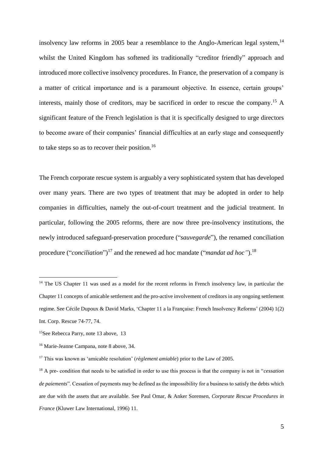insolvency law reforms in 2005 bear a resemblance to the Anglo-American legal system,<sup>14</sup> whilst the United Kingdom has softened its traditionally "creditor friendly" approach and introduced more collective insolvency procedures. In France, the preservation of a company is a matter of critical importance and is a paramount objective. In essence, certain groups' interests, mainly those of creditors, may be sacrificed in order to rescue the company. <sup>15</sup> A significant feature of the French legislation is that it is specifically designed to urge directors to become aware of their companies' financial difficulties at an early stage and consequently to take steps so as to recover their position.<sup>16</sup>

The French corporate rescue system is arguably a very sophisticated system that has developed over many years. There are two types of treatment that may be adopted in order to help companies in difficulties, namely the out-of-court treatment and the judicial treatment. In particular, following the 2005 reforms, there are now three pre-insolvency institutions, the newly introduced safeguard-preservation procedure ("*sauvegarde*"), the renamed conciliation procedure ("*conciliation*") <sup>17</sup> and the renewed ad hoc mandate ("*mandat ad hoc"*). 18

<sup>&</sup>lt;sup>14</sup> The US Chapter 11 was used as a model for the recent reforms in French insolvency law, in particular the Chapter 11 concepts of amicable settlement and the pro-active involvement of creditors in any ongoing settlement regime. See Cécile Dupoux & David Marks, 'Chapter 11 a la Française: French Insolvency Reforms' (2004) 1(2) Int. Corp. Rescue 74-77, 74.

<sup>&</sup>lt;sup>15</sup>See Rebecca Parry, note 13 above, 13

<sup>16</sup> Marie-Jeanne Campana, note 8 above, 34.

<sup>17</sup> This was known as 'amicable resolution' (*règlement amiable*) prior to the Law of 2005.

<sup>18</sup> A pre- condition that needs to be satisfied in order to use this process is that the company is not in "*cessation de paiements*". Cessation of payments may be defined as the impossibility for a business to satisfy the debts which are due with the assets that are available. See Paul Omar, & Anker Sorensen, *Corporate Rescue Procedures in France* (Kluwer Law International, 1996) 11.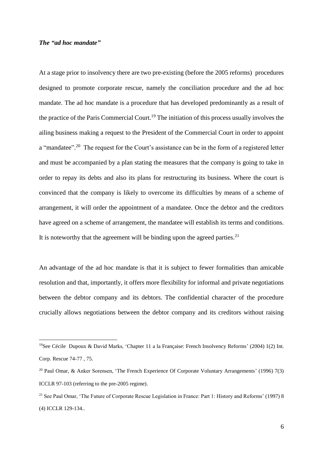# *The "ad hoc mandate"*

<u>.</u>

At a stage prior to insolvency there are two pre-existing (before the 2005 reforms) procedures designed to promote corporate rescue, namely the conciliation procedure and the ad hoc mandate. The ad hoc mandate is a procedure that has developed predominantly as a result of the practice of the Paris Commercial Court.<sup>19</sup> The initiation of this process usually involves the ailing business making a request to the President of the Commercial Court in order to appoint a "mandatee".<sup>20</sup> The request for the Court's assistance can be in the form of a registered letter and must be accompanied by a plan stating the measures that the company is going to take in order to repay its debts and also its plans for restructuring its business. Where the court is convinced that the company is likely to overcome its difficulties by means of a scheme of arrangement, it will order the appointment of a mandatee. Once the debtor and the creditors have agreed on a scheme of arrangement, the mandatee will establish its terms and conditions. It is noteworthy that the agreement will be binding upon the agreed parties.<sup>21</sup>

An advantage of the ad hoc mandate is that it is subject to fewer formalities than amicable resolution and that, importantly, it offers more flexibility for informal and private negotiations between the debtor company and its debtors. The confidential character of the procedure crucially allows negotiations between the debtor company and its creditors without raising

<sup>19</sup>See Cécile Dupoux & David Marks, 'Chapter 11 a la Française: French Insolvency Reforms' (2004) 1(2) Int. Corp. Rescue 74-77 , 75.

<sup>20</sup> Paul Omar, & Anker Sorensen, 'The French Experience Of Corporate Voluntary Arrangements' (1996) 7(3) ICCLR 97-103 (referring to the pre-2005 regime).

<sup>&</sup>lt;sup>21</sup> See Paul Omar, 'The Future of Corporate Rescue Legislation in France: Part 1: History and Reforms' (1997) 8 (4) ICCLR 129-134..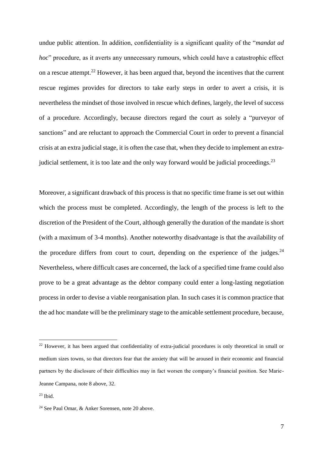undue public attention. In addition, confidentiality is a significant quality of the "*mandat ad hoc*" procedure, as it averts any unnecessary rumours, which could have a catastrophic effect on a rescue attempt.<sup>22</sup> However, it has been argued that, beyond the incentives that the current rescue regimes provides for directors to take early steps in order to avert a crisis, it is nevertheless the mindset of those involved in rescue which defines, largely, the level of success of a procedure. Accordingly, because directors regard the court as solely a "purveyor of sanctions" and are reluctant to approach the Commercial Court in order to prevent a financial crisis at an extra judicial stage, it is often the case that, when they decide to implement an extrajudicial settlement, it is too late and the only way forward would be judicial proceedings.<sup>23</sup>

Moreover, a significant drawback of this process is that no specific time frame is set out within which the process must be completed. Accordingly, the length of the process is left to the discretion of the President of the Court, although generally the duration of the mandate is short (with a maximum of 3-4 months). Another noteworthy disadvantage is that the availability of the procedure differs from court to court, depending on the experience of the judges. $^{24}$ Nevertheless, where difficult cases are concerned, the lack of a specified time frame could also prove to be a great advantage as the debtor company could enter a long-lasting negotiation process in order to devise a viable reorganisation plan. In such cases it is common practice that the ad hoc mandate will be the preliminary stage to the amicable settlement procedure, because,

<u>.</u>

<sup>&</sup>lt;sup>22</sup> However, it has been argued that confidentiality of extra-judicial procedures is only theoretical in small or medium sizes towns, so that directors fear that the anxiety that will be aroused in their economic and financial partners by the disclosure of their difficulties may in fact worsen the company's financial position. See Marie-Jeanne Campana, note 8 above, 32.

 $23$  Ibid.

<sup>24</sup> See Paul Omar, & Anker Sorensen, note 20 above.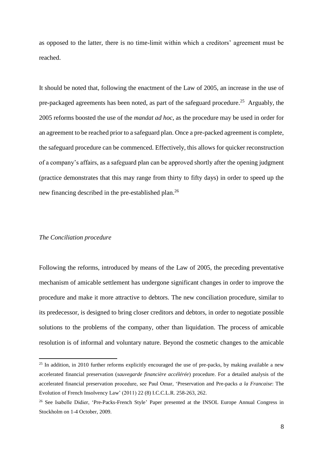as opposed to the latter, there is no time-limit within which a creditors' agreement must be reached.

It should be noted that, following the enactment of the Law of 2005, an increase in the use of pre-packaged agreements has been noted, as part of the safeguard procedure.<sup>25</sup> Arguably, the 2005 reforms boosted the use of the *mandat ad hoc*, as the procedure may be used in order for an agreement to be reached prior to a safeguard plan. Once a pre-packed agreement is complete, the safeguard procedure can be commenced. Effectively, this allows for quicker reconstruction of a company's affairs, as a safeguard plan can be approved shortly after the opening judgment (practice demonstrates that this may range from thirty to fifty days) in order to speed up the new financing described in the pre-established plan.<sup>26</sup>

# *The Conciliation procedure*

<u>.</u>

Following the reforms, introduced by means of the Law of 2005, the preceding preventative mechanism of amicable settlement has undergone significant changes in order to improve the procedure and make it more attractive to debtors. The new conciliation procedure, similar to its predecessor, is designed to bring closer creditors and debtors, in order to negotiate possible solutions to the problems of the company, other than liquidation. The process of amicable resolution is of informal and voluntary nature. Beyond the cosmetic changes to the amicable

<sup>&</sup>lt;sup>25</sup> In addition, in 2010 further reforms explicitly encouraged the use of pre-packs, by making available a new accelerated financial preservation (*sauvegarde financière accélérée*) procedure. For a detailed analysis of the accelerated financial preservation procedure, see Paul Omar, 'Preservation and Pre-packs *a la Francaise*: The Evolution of French Insolvency Law' (2011) 22 (8) I.C.C.L.R. 258-263, 262.

<sup>&</sup>lt;sup>26</sup> See Isabelle Didier, 'Pre-Packs-French Style' Paper presented at the INSOL Europe Annual Congress in Stockholm on 1-4 October, 2009.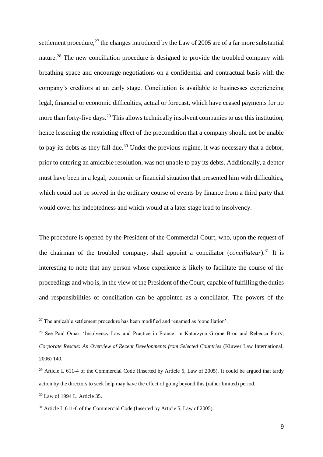settlement procedure, $^{27}$  the changes introduced by the Law of 2005 are of a far more substantial nature.<sup>28</sup> The new conciliation procedure is designed to provide the troubled company with breathing space and encourage negotiations on a confidential and contractual basis with the company's creditors at an early stage. Conciliation is available to businesses experiencing legal, financial or economic difficulties, actual or forecast, which have ceased payments for no more than forty-five days.<sup>29</sup> This allows technically insolvent companies to use this institution, hence lessening the restricting effect of the precondition that a company should not be unable to pay its debts as they fall due.<sup>30</sup> Under the previous regime, it was necessary that a debtor, prior to entering an amicable resolution, was not unable to pay its debts. Additionally, a debtor must have been in a legal, economic or financial situation that presented him with difficulties, which could not be solved in the ordinary course of events by finance from a third party that would cover his indebtedness and which would at a later stage lead to insolvency.

The procedure is opened by the President of the Commercial Court, who, upon the request of the chairman of the troubled company, shall appoint a conciliator (*conciliateur*).<sup>31</sup> It is interesting to note that any person whose experience is likely to facilitate the course of the proceedings and who is, in the view of the President of the Court, capable of fulfilling the duties and responsibilities of conciliation can be appointed as a conciliator. The powers of the

<sup>&</sup>lt;sup>27</sup> The amicable settlement procedure has been modified and renamed as 'conciliation'.

<sup>&</sup>lt;sup>28</sup> See Paul Omar, 'Insolvency Law and Practice in France' in Katarzyna Grome Broc and Rebecca Parry, *Corporate Rescue: An Overview of Recent Developments from Selected Countries* (Kluwer Law International, 2006) 140.

<sup>&</sup>lt;sup>29</sup> Article L 611-4 of the Commercial Code (Inserted by Article 5, Law of 2005). It could be argued that tardy action by the directors to seek help may have the effect of going beyond this (rather limited) period.

<sup>30</sup> Law of 1994 L. Article 35.

 $31$  Article L 611-6 of the Commercial Code (Inserted by Article 5, Law of 2005).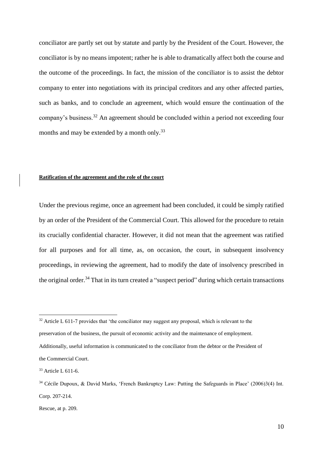conciliator are partly set out by statute and partly by the President of the Court. However, the conciliator is by no means impotent; rather he is able to dramatically affect both the course and the outcome of the proceedings. In fact, the mission of the conciliator is to assist the debtor company to enter into negotiations with its principal creditors and any other affected parties, such as banks, and to conclude an agreement, which would ensure the continuation of the company's business.<sup>32</sup> An agreement should be concluded within a period not exceeding four months and may be extended by a month only.<sup>33</sup>

# **Ratification of the agreement and the role of the court**

Under the previous regime, once an agreement had been concluded, it could be simply ratified by an order of the President of the Commercial Court. This allowed for the procedure to retain its crucially confidential character. However, it did not mean that the agreement was ratified for all purposes and for all time, as, on occasion, the court, in subsequent insolvency proceedings, in reviewing the agreement, had to modify the date of insolvency prescribed in the original order.<sup>34</sup> That in its turn created a "suspect period" during which certain transactions

 $32$  Article L 611-7 provides that 'the conciliator may suggest any proposal, which is relevant to the preservation of the business, the pursuit of economic activity and the maintenance of employment. Additionally, useful information is communicated to the conciliator from the debtor or the President of the Commercial Court.

<sup>&</sup>lt;sup>33</sup> Article L 611-6.

<sup>34</sup> Cécile Dupoux, & David Marks, 'French Bankruptcy Law: Putting the Safeguards in Place' (2006)3(4) Int. Corp. 207-214.

Rescue, at p. 209.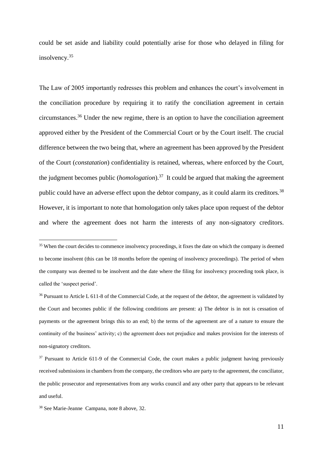could be set aside and liability could potentially arise for those who delayed in filing for insolvency.<sup>35</sup>

The Law of 2005 importantly redresses this problem and enhances the court's involvement in the conciliation procedure by requiring it to ratify the conciliation agreement in certain circumstances.<sup>36</sup> Under the new regime, there is an option to have the conciliation agreement approved either by the President of the Commercial Court or by the Court itself. The crucial difference between the two being that, where an agreement has been approved by the President of the Court (*constatation*) confidentiality is retained, whereas, where enforced by the Court, the judgment becomes public (*homologation*).<sup>37</sup> It could be argued that making the agreement public could have an adverse effect upon the debtor company, as it could alarm its creditors.<sup>38</sup> However, it is important to note that homologation only takes place upon request of the debtor and where the agreement does not harm the interests of any non-signatory creditors.

<sup>&</sup>lt;sup>35</sup> When the court decides to commence insolvency proceedings, it fixes the date on which the company is deemed to become insolvent (this can be 18 months before the opening of insolvency proceedings). The period of when the company was deemed to be insolvent and the date where the filing for insolvency proceeding took place, is called the 'suspect period'.

<sup>&</sup>lt;sup>36</sup> Pursuant to Article L 611-8 of the Commercial Code, at the request of the debtor, the agreement is validated by the Court and becomes public if the following conditions are present: a) The debtor is in not is cessation of payments or the agreement brings this to an end; b) the terms of the agreement are of a nature to ensure the continuity of the business' activity; c) the agreement does not prejudice and makes provision for the interests of non-signatory creditors.

 $37$  Pursuant to Article 611-9 of the Commercial Code, the court makes a public judgment having previously received submissions in chambers from the company, the creditors who are party to the agreement, the conciliator, the public prosecutor and representatives from any works council and any other party that appears to be relevant and useful.

<sup>38</sup> See Marie-Jeanne Campana, note 8 above, 32.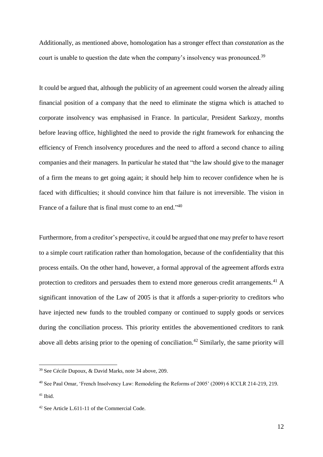Additionally, as mentioned above, homologation has a stronger effect than *constatation* as the court is unable to question the date when the company's insolvency was pronounced.<sup>39</sup>

It could be argued that, although the publicity of an agreement could worsen the already ailing financial position of a company that the need to eliminate the stigma which is attached to corporate insolvency was emphasised in France. In particular, President Sarkozy, months before leaving office, highlighted the need to provide the right framework for enhancing the efficiency of French insolvency procedures and the need to afford a second chance to ailing companies and their managers. In particular he stated that "the law should give to the manager of a firm the means to get going again; it should help him to recover confidence when he is faced with difficulties; it should convince him that failure is not irreversible. The vision in France of a failure that is final must come to an end."<sup>40</sup>

Furthermore, from a creditor's perspective, it could be argued that one may prefer to have resort to a simple court ratification rather than homologation, because of the confidentiality that this process entails. On the other hand, however, a formal approval of the agreement affords extra protection to creditors and persuades them to extend more generous credit arrangements.<sup>41</sup> A significant innovation of the Law of 2005 is that it affords a super-priority to creditors who have injected new funds to the troubled company or continued to supply goods or services during the conciliation process. This priority entitles the abovementioned creditors to rank above all debts arising prior to the opening of conciliation.<sup>42</sup> Similarly, the same priority will

<sup>39</sup> See Cécile Dupoux, & David Marks, note 34 above, 209.

<sup>40</sup> See Paul Omar, 'French Insolvency Law: Remodeling the Reforms of 2005' (2009) 6 ICCLR 214-219, 219.

 $41$  Ibid.

<sup>42</sup> See Article L.611-11 of the Commercial Code.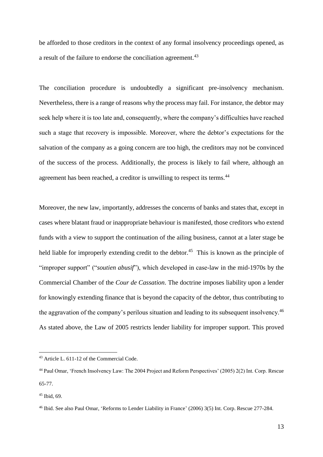be afforded to those creditors in the context of any formal insolvency proceedings opened, as a result of the failure to endorse the conciliation agreement.<sup>43</sup>

The conciliation procedure is undoubtedly a significant pre-insolvency mechanism. Nevertheless, there is a range of reasons why the process may fail. For instance, the debtor may seek help where it is too late and, consequently, where the company's difficulties have reached such a stage that recovery is impossible. Moreover, where the debtor's expectations for the salvation of the company as a going concern are too high, the creditors may not be convinced of the success of the process. Additionally, the process is likely to fail where, although an agreement has been reached, a creditor is unwilling to respect its terms.<sup>44</sup>

Moreover, the new law, importantly, addresses the concerns of banks and states that, except in cases where blatant fraud or inappropriate behaviour is manifested, those creditors who extend funds with a view to support the continuation of the ailing business, cannot at a later stage be held liable for improperly extending credit to the debtor.<sup>45</sup> This is known as the principle of "improper support" ("*soutien abusif*"), which developed in case-law in the mid-1970s by the Commercial Chamber of the *Cour de Cassation*. The doctrine imposes liability upon a lender for knowingly extending finance that is beyond the capacity of the debtor, thus contributing to the aggravation of the company's perilous situation and leading to its subsequent insolvency.<sup>46</sup> As stated above, the Law of 2005 restricts lender liability for improper support. This proved

<sup>43</sup> Article L. 611-12 of the Commercial Code.

<sup>44</sup> Paul Omar, 'French Insolvency Law: The 2004 Project and Reform Perspectives' (2005) 2(2) Int. Corp. Rescue 65-77.

 $45$  Ibid, 69.

<sup>46</sup> Ibid. See also Paul Omar, 'Reforms to Lender Liability in France' (2006) 3(5) Int. Corp. Rescue 277-284.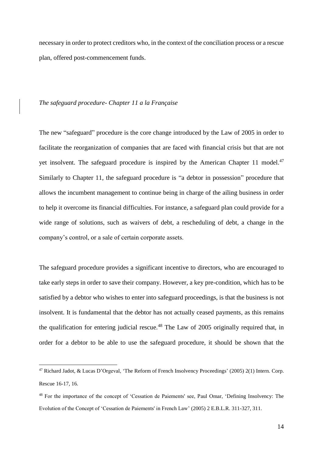necessary in order to protect creditors who, in the context of the conciliation process or a rescue plan, offered post-commencement funds.

### *The safeguard procedure- Chapter 11 a la Française*

1

The new "safeguard" procedure is the core change introduced by the Law of 2005 in order to facilitate the reorganization of companies that are faced with financial crisis but that are not yet insolvent. The safeguard procedure is inspired by the American Chapter 11 model. $47$ Similarly to Chapter 11, the safeguard procedure is "a debtor in possession" procedure that allows the incumbent management to continue being in charge of the ailing business in order to help it overcome its financial difficulties. For instance, a safeguard plan could provide for a wide range of solutions, such as waivers of debt, a rescheduling of debt, a change in the company's control, or a sale of certain corporate assets.

The safeguard procedure provides a significant incentive to directors, who are encouraged to take early steps in order to save their company. However, a key pre-condition, which has to be satisfied by a debtor who wishes to enter into safeguard proceedings, is that the business is not insolvent. It is fundamental that the debtor has not actually ceased payments, as this remains the qualification for entering judicial rescue.<sup>48</sup> The Law of 2005 originally required that, in order for a debtor to be able to use the safeguard procedure, it should be shown that the

<sup>47</sup> Richard Jadot, & Lucas D'Orgeval, 'The Reform of French Insolvency Proceedings' (2005) 2(1) Intern. Corp. Rescue 16-17, 16.

<sup>48</sup> For the importance of the concept of 'Cessation de Paiements' see, Paul Omar, 'Defining Insolvency: The Evolution of the Concept of 'Cessation de Paiements' in French Law' (2005) 2 E.B.L.R. 311-327, 311.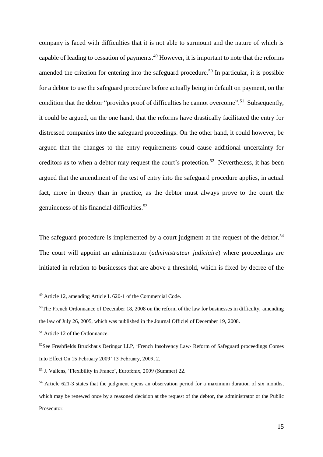company is faced with difficulties that it is not able to surmount and the nature of which is capable of leading to cessation of payments.<sup>49</sup> However, it is important to note that the reforms amended the criterion for entering into the safeguard procedure.<sup>50</sup> In particular, it is possible for a debtor to use the safeguard procedure before actually being in default on payment, on the condition that the debtor "provides proof of difficulties he cannot overcome".<sup>51</sup> Subsequently, it could be argued, on the one hand, that the reforms have drastically facilitated the entry for distressed companies into the safeguard proceedings. On the other hand, it could however, be argued that the changes to the entry requirements could cause additional uncertainty for creditors as to when a debtor may request the court's protection.<sup>52</sup> Nevertheless, it has been argued that the amendment of the test of entry into the safeguard procedure applies, in actual fact, more in theory than in practice, as the debtor must always prove to the court the genuineness of his financial difficulties.<sup>53</sup>

The safeguard procedure is implemented by a court judgment at the request of the debtor.<sup>54</sup> The court will appoint an administrator (*administrateur judiciaire*) where proceedings are initiated in relation to businesses that are above a threshold, which is fixed by decree of the

<sup>49</sup> Article 12, amending Article L 620-1 of the Commercial Code.

 $50$ The French Ordonnance of December 18, 2008 on the reform of the law for businesses in difficulty, amending the law of July 26, 2005, which was published in the Journal Officiel of December 19, 2008.

<sup>&</sup>lt;sup>51</sup> Article 12 of the Ordonnance.

<sup>52</sup>See Freshfields Bruckhaus Deringer LLP, 'French Insolvency Law- Reform of Safeguard proceedings Comes Into Effect On 15 February 2009' 13 February, 2009, 2.

<sup>53</sup> J. Vallens, 'Flexibility in France', Eurofenix, 2009 (Summer) 22.

<sup>&</sup>lt;sup>54</sup> Article 621-3 states that the judgment opens an observation period for a maximum duration of six months, which may be renewed once by a reasoned decision at the request of the debtor, the administrator or the Public Prosecutor.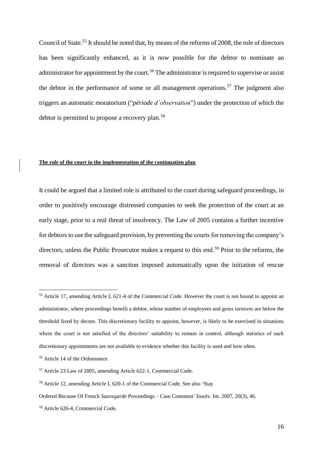Council of State.<sup>55</sup> It should be noted that, by means of the reforms of 2008, the role of directors has been significantly enhanced, as it is now possible for the debtor to nominate an administrator for appointment by the court.<sup>56</sup> The administrator is required to supervise or assist the debtor in the performance of some or all management operations.<sup>57</sup> The judgment also triggers an automatic moratorium ("*période d'observation*") under the protection of which the debtor is permitted to propose a recovery plan.<sup>58</sup>

#### **The role of the court in the implementation of the continuation plan**

It could be argued that a limited role is attributed to the court during safeguard proceedings, in order to positively encourage distressed companies to seek the protection of the court at an early stage, prior to a real threat of insolvency. The Law of 2005 contains a further incentive for debtors to use the safeguard provision, by preventing the courts for removing the company's directors, unless the Public Prosecutor makes a request to this end.<sup>59</sup> Prior to the reforms, the removal of directors was a sanction imposed automatically upon the initiation of rescue

<sup>55</sup> Article 17, amending Article L 621-4 of the Commercial Code. However the court is not bound to appoint an administrator, where proceedings benefit a debtor, whose number of employees and gross turnover are below the threshold fixed by decree. This discretionary facility to appoint, however, is likely to be exercised in situations where the court is not satisfied of the directors' suitability to remain in control, although statistics of such discretionary appointments are not available to evidence whether this facility is used and how often.

<sup>56</sup> Article 14 of the Ordonnance.

<sup>57</sup> Article 23 Law of 2005, amending Article 622-1, Commercial Code.

<sup>58</sup> Article 12, amending Article L 620-1 of the Commercial Code. See also 'Stay

Ordered Because Of French *Sauvegarde* Proceedings – Case Comment' Insolv. Int. 2007, 20(3), 46.

<sup>59</sup> Article 626-4, Commercial Code.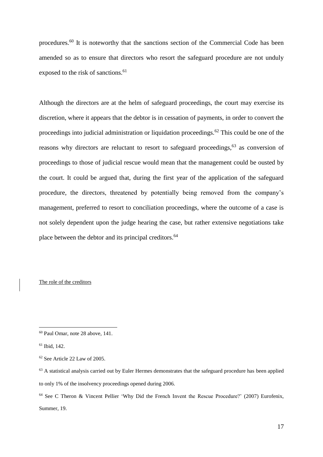procedures.<sup>60</sup> It is noteworthy that the sanctions section of the Commercial Code has been amended so as to ensure that directors who resort the safeguard procedure are not unduly exposed to the risk of sanctions.<sup>61</sup>

Although the directors are at the helm of safeguard proceedings, the court may exercise its discretion, where it appears that the debtor is in cessation of payments, in order to convert the proceedings into judicial administration or liquidation proceedings.<sup>62</sup> This could be one of the reasons why directors are reluctant to resort to safeguard proceedings,<sup>63</sup> as conversion of proceedings to those of judicial rescue would mean that the management could be ousted by the court. It could be argued that, during the first year of the application of the safeguard procedure, the directors, threatened by potentially being removed from the company's management, preferred to resort to conciliation proceedings, where the outcome of a case is not solely dependent upon the judge hearing the case, but rather extensive negotiations take place between the debtor and its principal creditors.<sup>64</sup>

# The role of the creditors

<sup>60</sup> Paul Omar, note 28 above, 141.

<sup>61</sup> Ibid, 142.

<sup>62</sup> See Article 22 Law of 2005.

<sup>&</sup>lt;sup>63</sup> A statistical analysis carried out by Euler Hermes demonstrates that the safeguard procedure has been applied to only 1% of the insolvency proceedings opened during 2006.

<sup>&</sup>lt;sup>64</sup> See C Theron & Vincent Pellier 'Why Did the French Invent the Rescue Procedure?' (2007) Eurofenix, Summer, 19.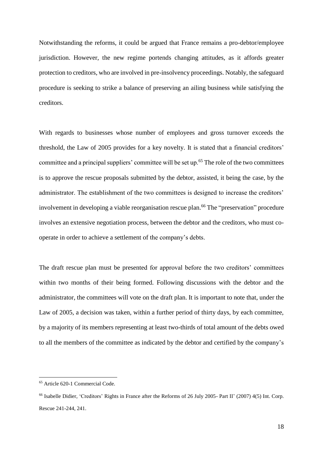Notwithstanding the reforms, it could be argued that France remains a pro-debtor/employee jurisdiction. However, the new regime portends changing attitudes, as it affords greater protection to creditors, who are involved in pre-insolvency proceedings. Notably, the safeguard procedure is seeking to strike a balance of preserving an ailing business while satisfying the creditors.

With regards to businesses whose number of employees and gross turnover exceeds the threshold, the Law of 2005 provides for a key novelty. It is stated that a financial creditors' committee and a principal suppliers' committee will be set up.<sup>65</sup> The role of the two committees is to approve the rescue proposals submitted by the debtor, assisted, it being the case, by the administrator. The establishment of the two committees is designed to increase the creditors' involvement in developing a viable reorganisation rescue plan.<sup>66</sup> The "preservation" procedure involves an extensive negotiation process, between the debtor and the creditors, who must cooperate in order to achieve a settlement of the company's debts.

The draft rescue plan must be presented for approval before the two creditors' committees within two months of their being formed. Following discussions with the debtor and the administrator, the committees will vote on the draft plan. It is important to note that, under the Law of 2005, a decision was taken, within a further period of thirty days, by each committee, by a majority of its members representing at least two-thirds of total amount of the debts owed to all the members of the committee as indicated by the debtor and certified by the company's

<sup>65</sup> Article 620-1 Commercial Code.

<sup>66</sup> Isabelle Didier, 'Creditors' Rights in France after the Reforms of 26 July 2005- Part II' (2007) 4(5) Int. Corp. Rescue 241-244, 241.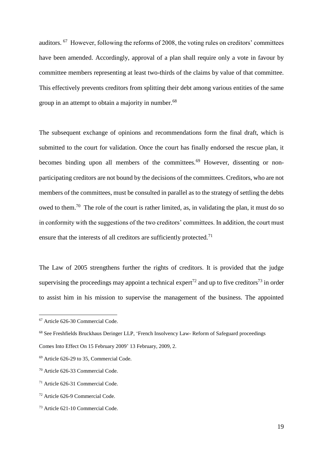auditors. <sup>67</sup> However, following the reforms of 2008, the voting rules on creditors' committees have been amended. Accordingly, approval of a plan shall require only a vote in favour by committee members representing at least two-thirds of the claims by value of that committee. This effectively prevents creditors from splitting their debt among various entities of the same group in an attempt to obtain a majority in number.<sup>68</sup>

The subsequent exchange of opinions and recommendations form the final draft, which is submitted to the court for validation. Once the court has finally endorsed the rescue plan, it becomes binding upon all members of the committees. $69$  However, dissenting or nonparticipating creditors are not bound by the decisions of the committees. Creditors, who are not members of the committees, must be consulted in parallel as to the strategy of settling the debts owed to them.<sup>70</sup> The role of the court is rather limited, as, in validating the plan, it must do so in conformity with the suggestions of the two creditors' committees. In addition, the court must ensure that the interests of all creditors are sufficiently protected.<sup>71</sup>

The Law of 2005 strengthens further the rights of creditors. It is provided that the judge supervising the proceedings may appoint a technical expert<sup>72</sup> and up to five creditors<sup>73</sup> in order to assist him in his mission to supervise the management of the business. The appointed

<sup>67</sup> Article 626-30 Commercial Code.

<sup>&</sup>lt;sup>68</sup> See Freshfields Bruckhaus Deringer LLP, 'French Insolvency Law- Reform of Safeguard proceedings

Comes Into Effect On 15 February 2009' 13 February, 2009, 2.

<sup>69</sup> Article 626-29 to 35, Commercial Code.

<sup>70</sup> Article 626-33 Commercial Code.

<sup>71</sup> Article 626-31 Commercial Code.

<sup>72</sup> Article 626-9 Commercial Code.

<sup>73</sup> Article 621-10 Commercial Code.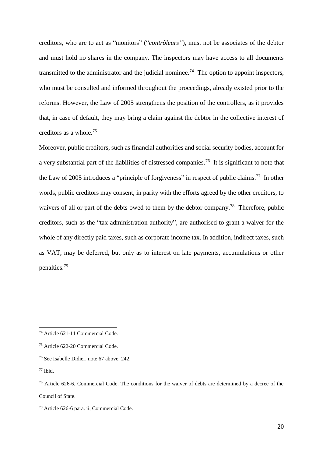creditors, who are to act as "monitors" ("*contrôleurs"*), must not be associates of the debtor and must hold no shares in the company. The inspectors may have access to all documents transmitted to the administrator and the judicial nominee.<sup>74</sup> The option to appoint inspectors, who must be consulted and informed throughout the proceedings, already existed prior to the reforms. However, the Law of 2005 strengthens the position of the controllers, as it provides that, in case of default, they may bring a claim against the debtor in the collective interest of creditors as a whole.<sup>75</sup>

Moreover, public creditors, such as financial authorities and social security bodies, account for a very substantial part of the liabilities of distressed companies.<sup>76</sup> It is significant to note that the Law of 2005 introduces a "principle of forgiveness" in respect of public claims.<sup>77</sup> In other words, public creditors may consent, in parity with the efforts agreed by the other creditors, to waivers of all or part of the debts owed to them by the debtor company.<sup>78</sup> Therefore, public creditors, such as the "tax administration authority", are authorised to grant a waiver for the whole of any directly paid taxes, such as corporate income tax. In addition, indirect taxes, such as VAT, may be deferred, but only as to interest on late payments, accumulations or other penalties.<sup>79</sup>

<sup>74</sup> Article 621-11 Commercial Code.

<sup>75</sup> Article 622-20 Commercial Code.

<sup>76</sup> See Isabelle Didier, note 67 above, 242.

 $77$  Ibid.

<sup>&</sup>lt;sup>78</sup> Article 626-6, Commercial Code. The conditions for the waiver of debts are determined by a decree of the Council of State.

<sup>79</sup> Article 626-6 para. ii, Commercial Code.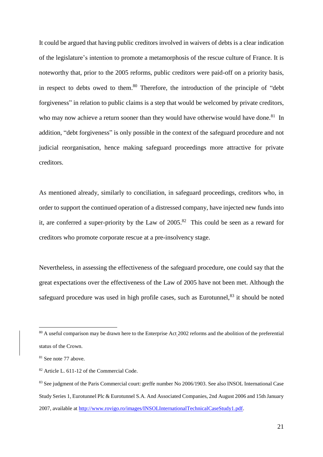It could be argued that having public creditors involved in waivers of debts is a clear indication of the legislature's intention to promote a metamorphosis of the rescue culture of France. It is noteworthy that, prior to the 2005 reforms, public creditors were paid-off on a priority basis, in respect to debts owed to them. <sup>80</sup> Therefore, the introduction of the principle of "debt forgiveness" in relation to public claims is a step that would be welcomed by private creditors, who may now achieve a return sooner than they would have otherwise would have done.<sup>81</sup> In addition, "debt forgiveness" is only possible in the context of the safeguard procedure and not judicial reorganisation, hence making safeguard proceedings more attractive for private creditors.

As mentioned already, similarly to conciliation, in safeguard proceedings, creditors who, in order to support the continued operation of a distressed company, have injected new funds into it, are conferred a super-priority by the Law of  $2005$ .<sup>82</sup> This could be seen as a reward for creditors who promote corporate rescue at a pre-insolvency stage.

Nevertheless, in assessing the effectiveness of the safeguard procedure, one could say that the great expectations over the effectiveness of the Law of 2005 have not been met. Although the safeguard procedure was used in high profile cases, such as Eurotunnel.<sup>83</sup> it should be noted

<sup>&</sup>lt;sup>80</sup> A useful comparison may be drawn here to the Enterprise Act<sub>2002</sub> reforms and the abolition of the preferential status of the Crown.

<sup>&</sup>lt;sup>81</sup> See note 77 above.

<sup>82</sup> Article L. 611-12 of the Commercial Code.

<sup>&</sup>lt;sup>83</sup> See judgment of the Paris Commercial court: greffe number No 2006/1903. See also INSOL International Case Study Series 1, Eurotunnel Plc & Eurotunnel S.A. And Associated Companies, 2nd August 2006 and 15th January 2007, available at [http://www.rovigo.ro/images/INSOLInternationalTechnicalCaseStudy1.pdf.](http://www.rovigo.ro/images/INSOLInternationalTechnicalCaseStudy1.pdf)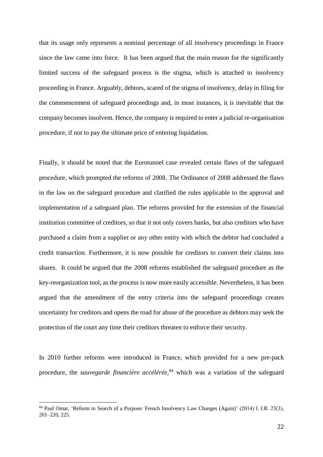that its usage only represents a nominal percentage of all insolvency proceedings in France since the law came into force. It has been argued that the main reason for the significantly limited success of the safeguard process is the stigma, which is attached to insolvency proceeding in France. Arguably, debtors, scared of the stigma of insolvency, delay in filing for the commencement of safeguard proceedings and, in most instances, it is inevitable that the company becomes insolvent. Hence, the company is required to enter a judicial re-organisation procedure, if not to pay the ultimate price of entering liquidation.

Finally, it should be noted that the Eurotunnel case revealed certain flaws of the safeguard procedure, which prompted the reforms of 2008. The Ordinance of 2008 addressed the flaws in the law on the safeguard procedure and clarified the rules applicable to the approval and implementation of a safeguard plan. The reforms provided for the extension of the financial institution committee of creditors, so that it not only covers banks, but also creditors who have purchased a claim from a supplier or any other entity with which the debtor had concluded a credit transaction. Furthermore, it is now possible for creditors to convert their claims into shares. It could be argued that the 2008 reforms established the safeguard procedure as the key-reorganization tool, as the process is now more easily accessible. Nevertheless, it has been argued that the amendment of the entry criteria into the safeguard proceedings creates uncertainty for creditors and opens the road for abuse of the procedure as debtors may seek the protection of the court any time their creditors threaten to enforce their security.

In 2010 further reforms were introduced in France, which provided for a new pre-pack procedure, the *sauvegarde financière accélérée*, <sup>84</sup> which was a variation of the safeguard

<sup>84</sup> Paul Omar, 'Reform in Search of a Purpose: French Insolvency Law Changes (Again)' (2014) I. I.R. 23(3), 201–220, 225.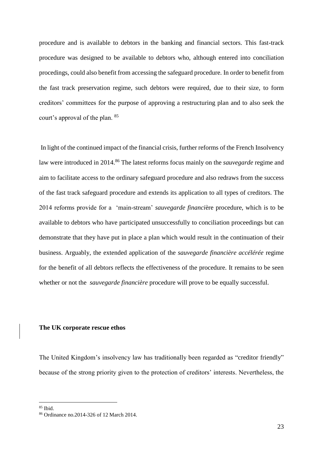procedure and is available to debtors in the banking and financial sectors. This fast-track procedure was designed to be available to debtors who, although entered into conciliation procedings, could also benefit from accessing the safeguard procedure. In order to benefit from the fast track preservation regime, such debtors were required, due to their size, to form creditors' committees for the purpose of approving a restructuring plan and to also seek the court's approval of the plan. <sup>85</sup>

In light of the continued impact of the financial crisis, further reforms of the French Insolvency law were introduced in 2014. <sup>86</sup> The latest reforms focus mainly on the *sauvegarde* regime and aim to facilitate access to the ordinary safeguard procedure and also redraws from the success of the fast track safeguard procedure and extends its application to all types of creditors. The 2014 reforms provide for a 'main-stream' *sauvegarde financi*ère procedure, which is to be available to debtors who have participated unsuccessfully to conciliation proceedings but can demonstrate that they have put in place a plan which would result in the continuation of their business. Arguably, the extended application of the *sauvegarde financière accélérée* regime for the benefit of all debtors reflects the effectiveness of the procedure. It remains to be seen whether or not the *sauvegarde financière* procedure will prove to be equally successful.

### **The UK corporate rescue ethos**

The United Kingdom's insolvency law has traditionally been regarded as "creditor friendly" because of the strong priority given to the protection of creditors' interests. Nevertheless, the

 $85$  Ibid.

<sup>86</sup> Ordinance no.2014-326 of 12 March 2014.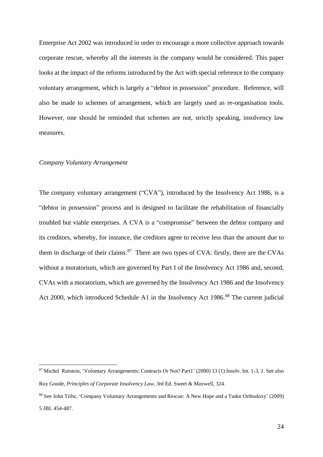Enterprise Act 2002 was introduced in order to encourage a more collective approach towards corporate rescue, whereby all the interests in the company would be considered. This paper looks at the impact of the reforms introduced by the Act with special reference to the company voluntary arrangement, which is largely a "debtor in possession" procedure. Reference, will also be made to schemes of arrangement, which are largely used as re-organisation tools. However, one should be reminded that schemes are not, strictly speaking, insolvency law measures.

# *Company Voluntary Arrangement*

1

The company voluntary arrangement ("CVA"), introduced by the Insolvency Act 1986, is a "debtor in possession" process and is designed to facilitate the rehabilitation of financially troubled but viable enterprises. A CVA is a "compromise" between the debtor company and its creditors, whereby, for instance, the creditors agree to receive less than the amount due to them in discharge of their claims.  $87$  There are two types of CVA: firstly, there are the CVAs without a moratorium, which are governed by Part I of the Insolvency Act 1986 and, second, CVAs with a moratorium, which are governed by the Insolvency Act 1986 and the Insolvency Act 2000, which introduced Schedule A1 in the Insolvency Act 1986.<sup>88</sup> The current judicial

<sup>87</sup> Michel Rutstein, 'Voluntary Arrangements: Contracts Or Not? Part1' (2000) 13 (1) Insolv. Int. 1-3, 1. See also Roy Goode, *Principles of Corporate Insolvency Law*, 3rd Ed. Sweet & Maxwell, 324.

<sup>88</sup> See John Tribe, 'Company Voluntary Arrangements and Rescue: A New Hope and a Tudor Orthodoxy' (2009) 5 JBL 454-487.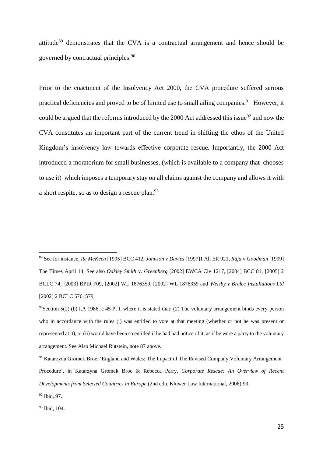attitude<sup>89</sup> demonstrates that the CVA is a contractual arrangement and hence should be governed by contractual principles.<sup>90</sup>

Prior to the enactment of the Insolvency Act 2000, the CVA procedure suffered serious practical deficiencies and proved to be of limited use to small ailing companies.<sup>91</sup> However, it could be argued that the reforms introduced by the 2000 Act addressed this issue $92$  and now the CVA constitutes an important part of the current trend in shifting the ethos of the United Kingdom's insolvency law towards effective corporate rescue. Importantly, the 2000 Act introduced a moratorium for small businesses, (which is available to a company that chooses to use it) which imposes a temporary stay on all claims against the company and allows it with a short respite, so as to design a rescue plan.<sup>93</sup>

<sup>89</sup> See for instance, *Re McKeen* [1995] BCC 412, *Johnson* v *Davies* [1997]1 All ER 921, *Raja* v *Goodman* [1999] The Times April 14, See also *Oakley Smith* v. *Greenberg* [2002] EWCA Civ 1217, [2004] BCC 81, [2005] 2 BCLC 74, [2003] BPIR 709, [2002] WL 1876359, [2002] WL 1876359 and *Welsby v Brelec Installations Ltd* [2002] 2 BCLC 576, 579.

 $90$ Section 5(2) (b) I.A 1986, c 45 Pt I, where it is stated that: (2) The voluntary arrangement binds every person who in accordance with the rules (i) was entitled to vote at that meeting (whether or not he was present or represented at it), or (ii) would have been so entitled if he had had notice of it, as if he were a party to the voluntary arrangement. See Also Michael Rutstein, note 87 above.

<sup>&</sup>lt;sup>91</sup> Katarzyna Gromek Broc, 'England and Wales: The Impact of The Revised Company Voluntary Arrangement Procedure', in Katarzyna Gromek Broc & Rebecca Parry, *Corporate Rescue: An Overview of Recent Developments from Selected Countries in Europe* (2nd edn. Kluwer Law International, 2006) 93.

<sup>92</sup> Ibid, 97.

<sup>93</sup> Ibid, 104.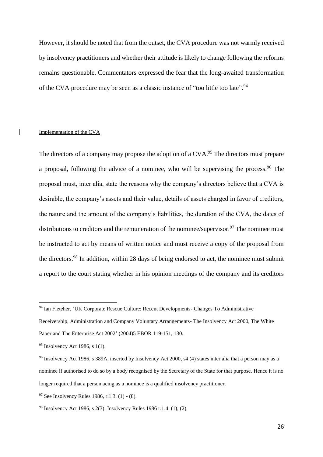However, it should be noted that from the outset, the CVA procedure was not warmly received by insolvency practitioners and whether their attitude is likely to change following the reforms remains questionable. Commentators expressed the fear that the long-awaited transformation of the CVA procedure may be seen as a classic instance of "too little too late".<sup>94</sup>

# Implementation of the CVA

The directors of a company may propose the adoption of a CVA.<sup>95</sup> The directors must prepare a proposal, following the advice of a nominee, who will be supervising the process.<sup>96</sup> The proposal must, inter alia, state the reasons why the company's directors believe that a CVA is desirable, the company's assets and their value, details of assets charged in favor of creditors, the nature and the amount of the company's liabilities, the duration of the CVA, the dates of distributions to creditors and the remuneration of the nominee/supervisor.<sup>97</sup> The nominee must be instructed to act by means of written notice and must receive a copy of the proposal from the directors.<sup>98</sup> In addition, within 28 days of being endorsed to act, the nominee must submit a report to the court stating whether in his opinion meetings of the company and its creditors

<u>.</u>

<sup>94</sup> Ian Fletcher, 'UK Corporate Rescue Culture: Recent Developments- Changes To Administrative

Receivership, Administration and Company Voluntary Arrangements- The Insolvency Act 2000, The White Paper and The Enterprise Act 2002' (2004)5 EBOR 119-151, 130.

<sup>95</sup> Insolvency Act 1986, s 1(1).

<sup>&</sup>lt;sup>96</sup> Insolvency Act 1986, s 389A, inserted by Insolvency Act 2000, s4 (4) states inter alia that a person may as a nominee if authorised to do so by a body recognised by the Secretary of the State for that purpose. Hence it is no longer required that a person acing as a nominee is a qualified insolvency practitioner.

<sup>97</sup> See Insolvency Rules 1986, r.1.3. (1) - (8).

<sup>98</sup> Insolvency Act 1986, s 2(3); Insolvency Rules 1986 r.1.4. (1), (2).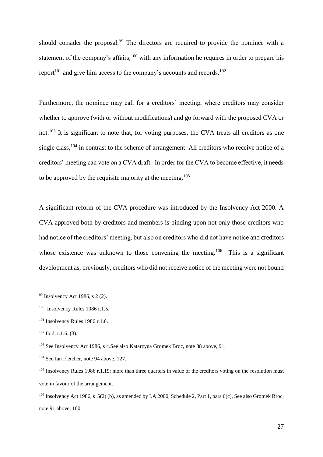should consider the proposal.<sup>99</sup> The directors are required to provide the nominee with a statement of the company's affairs,  $100$  with any information he requires in order to prepare his report<sup>101</sup> and give him access to the company's accounts and records.<sup>102</sup>

Furthermore, the nominee may call for a creditors' meeting, where creditors may consider whether to approve (with or without modifications) and go forward with the proposed CVA or not.<sup>103</sup> It is significant to note that, for voting purposes, the CVA treats all creditors as one single class,<sup>104</sup> in contrast to the scheme of arrangement. All creditors who receive notice of a creditors' meeting can vote on a CVA draft. In order for the CVA to become effective, it needs to be approved by the requisite majority at the meeting.<sup>105</sup>

A significant reform of the CVA procedure was introduced by the Insolvency Act 2000. A CVA approved both by creditors and members is binding upon not only those creditors who had notice of the creditors' meeting, but also on creditors who did not have notice and creditors whose existence was unknown to those convening the meeting.<sup>106</sup> This is a significant development as, previously, creditors who did not receive notice of the meeting were not bound

<sup>99</sup> Insolvency Act 1986, s 2 (2).

<sup>100</sup> Insolvency Rules 1986 r.1.5.

<sup>101</sup> Insolvency Rules 1986 r.1.6.

 $102$  Ibid, r.1.6. (3).

<sup>103</sup> See Insolvency Act 1986, s 4.See also Katarzyna Gromek Broc, note 88 above, 91.

<sup>104</sup> See Ian Fletcher, note 94 above, 127.

 $105$  Insolvency Rules 1986 r.1.19: more than three quarters in value of the creditors voting on the resolution must vote in favour of the arrangement.

<sup>&</sup>lt;sup>106</sup> Insolvency Act 1986, s 5(2) (b), as amended by I.A 2000, Schedule 2, Part 1, para 6(c), See also Gromek Broc, note 91 above, 100.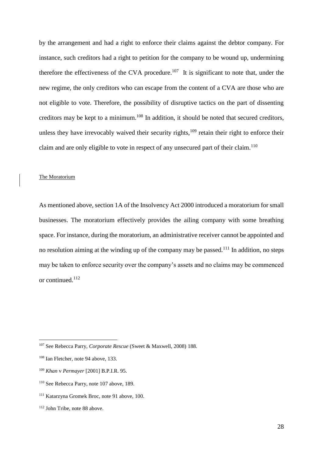by the arrangement and had a right to enforce their claims against the debtor company. For instance, such creditors had a right to petition for the company to be wound up, undermining therefore the effectiveness of the CVA procedure.<sup>107</sup> It is significant to note that, under the new regime, the only creditors who can escape from the content of a CVA are those who are not eligible to vote. Therefore, the possibility of disruptive tactics on the part of dissenting creditors may be kept to a minimum.<sup>108</sup> In addition, it should be noted that secured creditors, unless they have irrevocably waived their security rights, $109$  retain their right to enforce their claim and are only eligible to vote in respect of any unsecured part of their claim.<sup>110</sup>

# The Moratorium

As mentioned above, section 1A of the Insolvency Act 2000 introduced a moratorium for small businesses. The moratorium effectively provides the ailing company with some breathing space. For instance, during the moratorium, an administrative receiver cannot be appointed and no resolution aiming at the winding up of the company may be passed.<sup>111</sup> In addition, no steps may be taken to enforce security over the company's assets and no claims may be commenced or continued.<sup>112</sup>

<u>.</u>

<sup>112</sup> John Tribe, note 88 above.

<sup>107</sup> See Rebecca Parry, *Corporate Rescue* (Sweet & Maxwell, 2008) 188.

<sup>&</sup>lt;sup>108</sup> Ian Fletcher, note 94 above, 133.

<sup>109</sup> *Khan* v *Permayer* [2001] B.P.I.R. 95.

<sup>110</sup> See Rebecca Parry, note 107 above, 189.

<sup>111</sup> Katarzyna Gromek Broc, note 91 above, 100.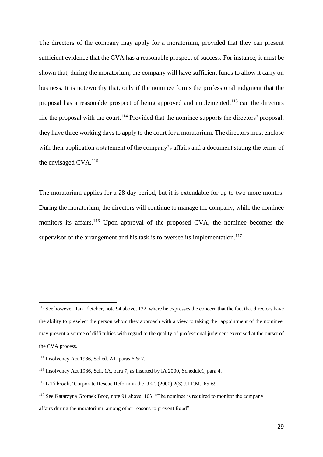The directors of the company may apply for a moratorium, provided that they can present sufficient evidence that the CVA has a reasonable prospect of success. For instance, it must be shown that, during the moratorium, the company will have sufficient funds to allow it carry on business. It is noteworthy that, only if the nominee forms the professional judgment that the proposal has a reasonable prospect of being approved and implemented, $113$  can the directors file the proposal with the court.<sup>114</sup> Provided that the nominee supports the directors' proposal, they have three working days to apply to the court for a moratorium. The directors must enclose with their application a statement of the company's affairs and a document stating the terms of the envisaged CVA.<sup>115</sup>

The moratorium applies for a 28 day period, but it is extendable for up to two more months. During the moratorium, the directors will continue to manage the company, while the nominee monitors its affairs.<sup>116</sup> Upon approval of the proposed CVA, the nominee becomes the supervisor of the arrangement and his task is to oversee its implementation.<sup>117</sup>

<u>.</u>

<sup>113</sup> See however, Ian Fletcher, note 94 above, 132, where he expresses the concern that the fact that directors have the ability to preselect the person whom they approach with a view to taking the appointment of the nominee, may present a source of difficulties with regard to the quality of professional judgment exercised at the outset of the CVA process.

<sup>&</sup>lt;sup>114</sup> Insolvency Act 1986, Sched. A1, paras 6  $\&$  7.

<sup>115</sup> Insolvency Act 1986, Sch. 1A, para 7, as inserted by IA 2000, Schedule1, para 4.

<sup>116</sup> L Tilbrook, 'Corporate Rescue Reform in the UK', (2000) 2(3) J.I.F.M., 65-69.

<sup>117</sup> See Katarzyna Gromek Broc, note 91 above, 103. "The nominee is required to monitor the company affairs during the moratorium, among other reasons to prevent fraud".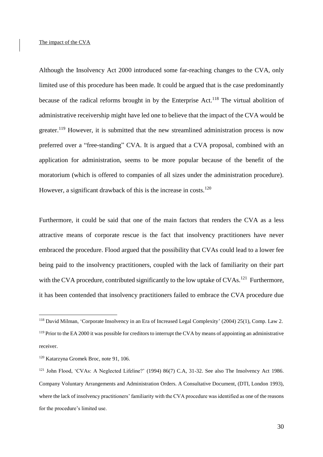# The impact of the CVA

Although the Insolvency Act 2000 introduced some far-reaching changes to the CVA, only limited use of this procedure has been made. It could be argued that is the case predominantly because of the radical reforms brought in by the Enterprise Act.<sup>118</sup> The virtual abolition of administrative receivership might have led one to believe that the impact of the CVA would be greater.<sup>119</sup> However, it is submitted that the new streamlined administration process is now preferred over a "free-standing" CVA. It is argued that a CVA proposal, combined with an application for administration, seems to be more popular because of the benefit of the moratorium (which is offered to companies of all sizes under the administration procedure). However, a significant drawback of this is the increase in costs.<sup>120</sup>

Furthermore, it could be said that one of the main factors that renders the CVA as a less attractive means of corporate rescue is the fact that insolvency practitioners have never embraced the procedure. Flood argued that the possibility that CVAs could lead to a lower fee being paid to the insolvency practitioners, coupled with the lack of familiarity on their part with the CVA procedure, contributed significantly to the low uptake of CVAs.<sup>121</sup> Furthermore, it has been contended that insolvency practitioners failed to embrace the CVA procedure due

<sup>118</sup> David Milman, 'Corporate Insolvency in an Era of Increased Legal Complexity' (2004) 25(1), Comp. Law 2. <sup>119</sup> Prior to the EA 2000 it was possible for creditors to interrupt the CVA by means of appointing an administrative receiver.

<sup>120</sup> Katarzyna Gromek Broc, note 91, 106.

<sup>121</sup> John Flood, 'CVAs: A Neglected Lifeline?' (1994) 86(7) C.A, 31-32. See also The Insolvency Act 1986. Company Voluntary Arrangements and Administration Orders. A Consultative Document, (DTI, London 1993), where the lack of insolvency practitioners' familiarity with the CVA procedure was identified as one of the reasons for the procedure's limited use.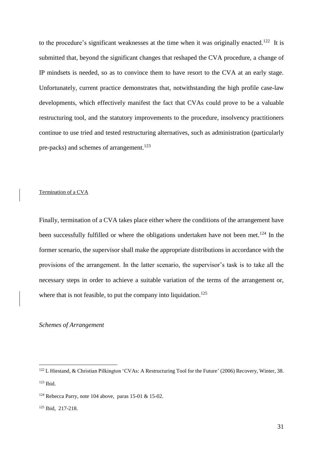to the procedure's significant weaknesses at the time when it was originally enacted.<sup>122</sup> It is submitted that, beyond the significant changes that reshaped the CVA procedure, a change of IP mindsets is needed, so as to convince them to have resort to the CVA at an early stage. Unfortunately, current practice demonstrates that, notwithstanding the high profile case-law developments, which effectively manifest the fact that CVAs could prove to be a valuable restructuring tool, and the statutory improvements to the procedure, insolvency practitioners continue to use tried and tested restructuring alternatives, such as administration (particularly pre-packs) and schemes of arrangement.<sup>123</sup>

#### Termination of a CVA

Finally, termination of a CVA takes place either where the conditions of the arrangement have been successfully fulfilled or where the obligations undertaken have not been met.<sup>124</sup> In the former scenario, the supervisor shall make the appropriate distributions in accordance with the provisions of the arrangement. In the latter scenario, the supervisor's task is to take all the necessary steps in order to achieve a suitable variation of the terms of the arrangement or, where that is not feasible, to put the company into liquidation.<sup>125</sup>

# *Schemes of Arrangement*

<sup>&</sup>lt;sup>122</sup> L Hiestand, & Christian Pilkington 'CVAs: A Restructuring Tool for the Future' (2006) Recovery, Winter, 38. <sup>123</sup> Ibid.

<sup>&</sup>lt;sup>124</sup> Rebecca Parry, note 104 above, paras 15-01 & 15-02.

<sup>125</sup> Ibid, 217-218.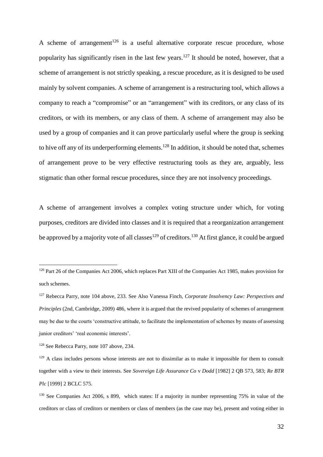A scheme of arrangement<sup>126</sup> is a useful alternative corporate rescue procedure, whose popularity has significantly risen in the last few years.<sup>127</sup> It should be noted, however, that a scheme of arrangement is not strictly speaking, a rescue procedure, as it is designed to be used mainly by solvent companies. A scheme of arrangement is a restructuring tool, which allows a company to reach a "compromise" or an "arrangement" with its creditors, or any class of its creditors, or with its members, or any class of them. A scheme of arrangement may also be used by a group of companies and it can prove particularly useful where the group is seeking to hive off any of its underperforming elements.<sup>128</sup> In addition, it should be noted that, schemes of arrangement prove to be very effective restructuring tools as they are, arguably, less stigmatic than other formal rescue procedures, since they are not insolvency proceedings.

A scheme of arrangement involves a complex voting structure under which, for voting purposes, creditors are divided into classes and it is required that a reorganization arrangement be approved by a majority vote of all classes<sup>129</sup> of creditors.<sup>130</sup> At first glance, it could be argued

<u>.</u>

<sup>&</sup>lt;sup>126</sup> Part 26 of the Companies Act 2006, which replaces Part XIII of the Companies Act 1985, makes provision for such schemes.

<sup>127</sup> Rebecca Parry, note 104 above, 233. See Also Vanessa Finch*, Corporate Insolvency Law: Perspectives and Principles* (2nd, Cambridge, 2009) 486, where it is argued that the revived popularity of schemes of arrangement may be due to the courts 'constructive attitude, to facilitate the implementation of schemes by means of assessing junior creditors' 'real economic interests'.

<sup>128</sup> See Rebecca Parry, note 107 above, 234.

<sup>&</sup>lt;sup>129</sup> A class includes persons whose interests are not to dissimilar as to make it impossible for them to consult together with a view to their interests. See *Sovereign Life Assurance Co* v *Dodd* [1982] 2 QB 573, 583; *Re BTR Plc* [1999] 2 BCLC 575.

<sup>&</sup>lt;sup>130</sup> See Companies Act 2006, s 899, which states: If a majority in number representing 75% in value of the creditors or class of creditors or members or class of members (as the case may be), present and voting either in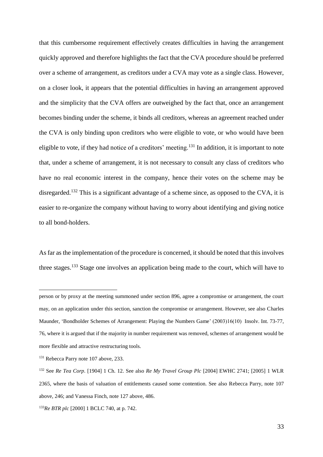that this cumbersome requirement effectively creates difficulties in having the arrangement quickly approved and therefore highlights the fact that the CVA procedure should be preferred over a scheme of arrangement, as creditors under a CVA may vote as a single class. However, on a closer look, it appears that the potential difficulties in having an arrangement approved and the simplicity that the CVA offers are outweighed by the fact that, once an arrangement becomes binding under the scheme, it binds all creditors, whereas an agreement reached under the CVA is only binding upon creditors who were eligible to vote, or who would have been eligible to vote, if they had notice of a creditors' meeting.<sup>131</sup> In addition, it is important to note that, under a scheme of arrangement, it is not necessary to consult any class of creditors who have no real economic interest in the company, hence their votes on the scheme may be disregarded.<sup>132</sup> This is a significant advantage of a scheme since, as opposed to the CVA, it is easier to re-organize the company without having to worry about identifying and giving notice to all bond-holders.

As far as the implementation of the procedure is concerned, it should be noted that this involves three stages.<sup>133</sup> Stage one involves an application being made to the court, which will have to

person or by proxy at the meeting summoned under section 896, agree a compromise or arrangement, the court may, on an application under this section, sanction the compromise or arrangement. However, see also Charles Maunder, 'Bondholder Schemes of Arrangement: Playing the Numbers Game' (2003)16(10) Insolv. Int. 73-77, 76, where it is argued that if the majority in number requirement was removed, schemes of arrangement would be more flexible and attractive restructuring tools.

<sup>&</sup>lt;sup>131</sup> Rebecca Parry note 107 above, 233.

<sup>132</sup> See *Re Tea Corp*. [1904] 1 Ch. 12. See also *Re My Travel Group Plc* [2004] EWHC 2741; [2005] 1 WLR 2365, where the basis of valuation of entitlements caused some contention. See also Rebecca Parry, note 107 above, 246; and Vanessa Finch, note 127 above, 486.

<sup>133</sup>*Re BTR plc* [2000] 1 BCLC 740, at p. 742.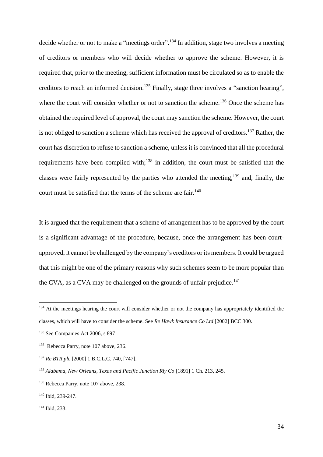decide whether or not to make a "meetings order".<sup>134</sup> In addition, stage two involves a meeting of creditors or members who will decide whether to approve the scheme. However, it is required that, prior to the meeting, sufficient information must be circulated so as to enable the creditors to reach an informed decision.<sup>135</sup> Finally, stage three involves a "sanction hearing", where the court will consider whether or not to sanction the scheme.<sup>136</sup> Once the scheme has obtained the required level of approval, the court may sanction the scheme. However, the court is not obliged to sanction a scheme which has received the approval of creditors.<sup>137</sup> Rather, the court has discretion to refuse to sanction a scheme, unless it is convinced that all the procedural requirements have been complied with;<sup>138</sup> in addition, the court must be satisfied that the classes were fairly represented by the parties who attended the meeting,<sup>139</sup> and, finally, the court must be satisfied that the terms of the scheme are fair.<sup>140</sup>

It is argued that the requirement that a scheme of arrangement has to be approved by the court is a significant advantage of the procedure, because, once the arrangement has been courtapproved, it cannot be challenged by the company's creditors or its members. It could be argued that this might be one of the primary reasons why such schemes seem to be more popular than the CVA, as a CVA may be challenged on the grounds of unfair prejudice.<sup>141</sup>

<u>.</u>

<sup>&</sup>lt;sup>134</sup> At the meetings hearing the court will consider whether or not the company has appropriately identified the classes, which will have to consider the scheme. See *Re Hawk Insurance Co Ltd* [2002] BCC 300.

<sup>135</sup> See Companies Act 2006, s 897

<sup>136</sup> Rebecca Parry, note 107 above, 236.

<sup>137</sup> *Re BTR plc* [2000] 1 B.C.L.C. 740, [747].

<sup>138</sup> *Alabama, New Orleans, Texas and Pacific Junction Rly Co* [1891] 1 Ch. 213, 245.

<sup>&</sup>lt;sup>139</sup> Rebecca Parry, note 107 above, 238.

<sup>140</sup> Ibid, 239-247.

<sup>141</sup> Ibid, 233.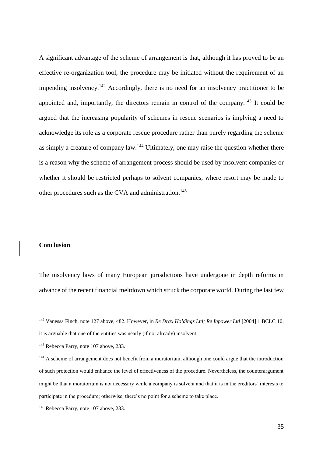A significant advantage of the scheme of arrangement is that, although it has proved to be an effective re-organization tool, the procedure may be initiated without the requirement of an impending insolvency.<sup>142</sup> Accordingly, there is no need for an insolvency practitioner to be appointed and, importantly, the directors remain in control of the company.<sup>143</sup> It could be argued that the increasing popularity of schemes in rescue scenarios is implying a need to acknowledge its role as a corporate rescue procedure rather than purely regarding the scheme as simply a creature of company law.<sup>144</sup> Ultimately, one may raise the question whether there is a reason why the scheme of arrangement process should be used by insolvent companies or whether it should be restricted perhaps to solvent companies, where resort may be made to other procedures such as the CVA and administration.<sup>145</sup>

### **Conclusion**

1

The insolvency laws of many European jurisdictions have undergone in depth reforms in advance of the recent financial meltdown which struck the corporate world. During the last few

<sup>142</sup> Vanessa Finch, note 127 above, 482. However, in *Re Drax Holdings Ltd; Re Inpower Ltd* [2004] 1 BCLC 10, it is arguable that one of the entities was nearly (if not already) insolvent.

<sup>&</sup>lt;sup>143</sup> Rebecca Parry, note 107 above, 233.

<sup>&</sup>lt;sup>144</sup> A scheme of arrangement does not benefit from a moratorium, although one could argue that the introduction of such protection would enhance the level of effectiveness of the procedure. Nevertheless, the counterargument might be that a moratorium is not necessary while a company is solvent and that it is in the creditors' interests to participate in the procedure; otherwise, there's no point for a scheme to take place.

<sup>145</sup> Rebecca Parry, note 107 above, 233.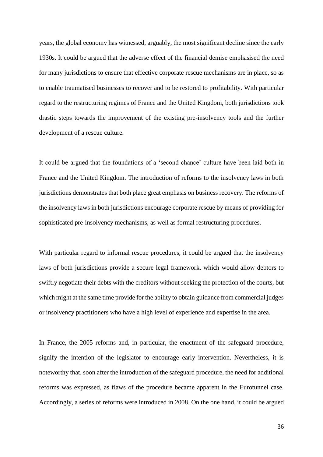years, the global economy has witnessed, arguably, the most significant decline since the early 1930s. It could be argued that the adverse effect of the financial demise emphasised the need for many jurisdictions to ensure that effective corporate rescue mechanisms are in place, so as to enable traumatised businesses to recover and to be restored to profitability. With particular regard to the restructuring regimes of France and the United Kingdom, both jurisdictions took drastic steps towards the improvement of the existing pre-insolvency tools and the further development of a rescue culture.

It could be argued that the foundations of a 'second-chance' culture have been laid both in France and the United Kingdom. The introduction of reforms to the insolvency laws in both jurisdictions demonstrates that both place great emphasis on business recovery. The reforms of the insolvency laws in both jurisdictions encourage corporate rescue by means of providing for sophisticated pre-insolvency mechanisms, as well as formal restructuring procedures.

With particular regard to informal rescue procedures, it could be argued that the insolvency laws of both jurisdictions provide a secure legal framework, which would allow debtors to swiftly negotiate their debts with the creditors without seeking the protection of the courts, but which might at the same time provide for the ability to obtain guidance from commercial judges or insolvency practitioners who have a high level of experience and expertise in the area.

In France, the 2005 reforms and, in particular, the enactment of the safeguard procedure, signify the intention of the legislator to encourage early intervention. Nevertheless, it is noteworthy that, soon after the introduction of the safeguard procedure, the need for additional reforms was expressed, as flaws of the procedure became apparent in the Eurotunnel case. Accordingly, a series of reforms were introduced in 2008. On the one hand, it could be argued